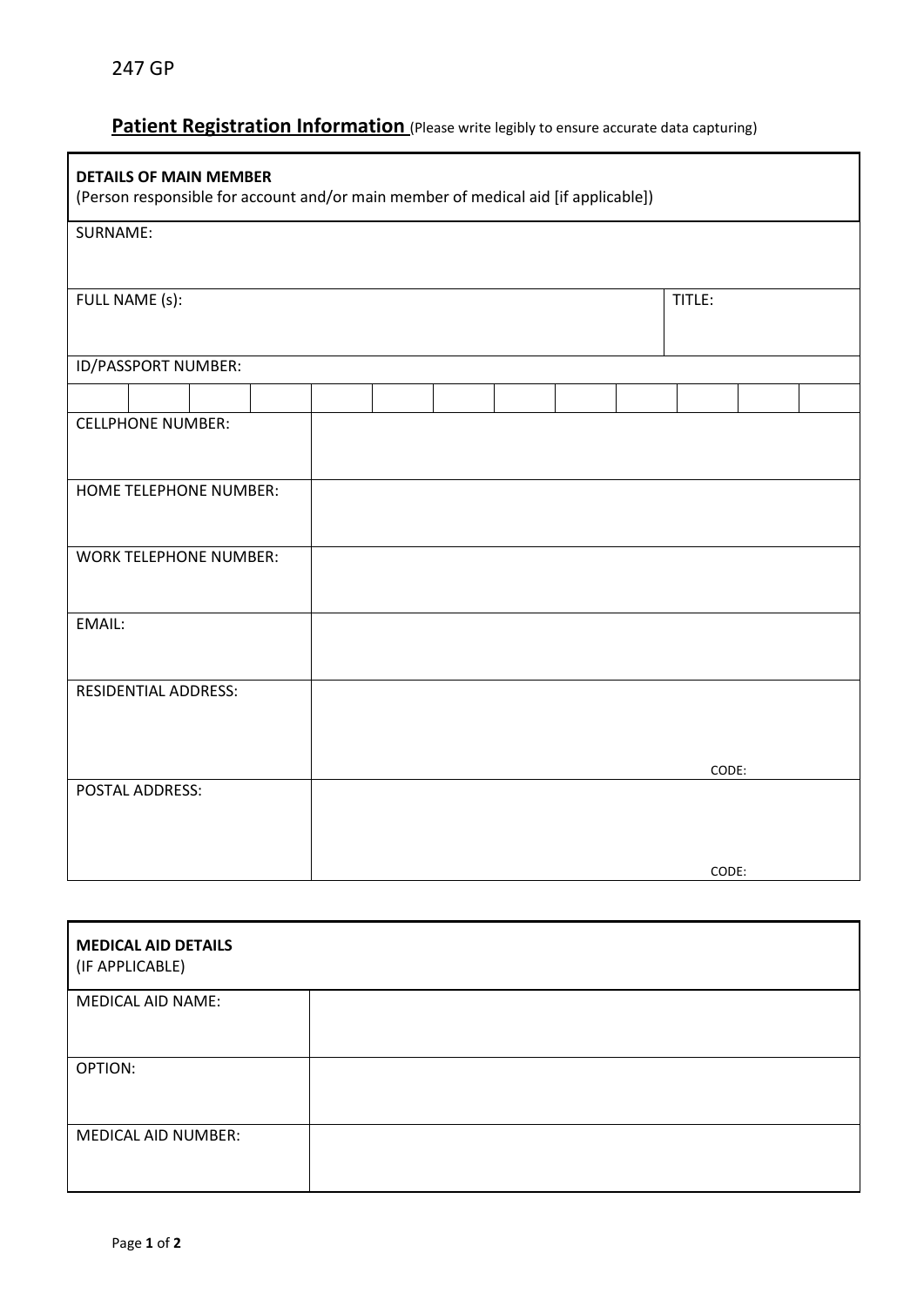## **Patient Registration Information** (Please write legibly to ensure accurate data capturing)

| <b>DETAILS OF MAIN MEMBER</b><br>(Person responsible for account and/or main member of medical aid [if applicable]) |  |  |  |  |        |       |  |  |
|---------------------------------------------------------------------------------------------------------------------|--|--|--|--|--------|-------|--|--|
| SURNAME:                                                                                                            |  |  |  |  |        |       |  |  |
| FULL NAME (s):                                                                                                      |  |  |  |  | TITLE: |       |  |  |
| ID/PASSPORT NUMBER:                                                                                                 |  |  |  |  |        |       |  |  |
|                                                                                                                     |  |  |  |  |        |       |  |  |
| <b>CELLPHONE NUMBER:</b>                                                                                            |  |  |  |  |        |       |  |  |
| HOME TELEPHONE NUMBER:                                                                                              |  |  |  |  |        |       |  |  |
| <b>WORK TELEPHONE NUMBER:</b>                                                                                       |  |  |  |  |        |       |  |  |
| EMAIL:                                                                                                              |  |  |  |  |        |       |  |  |
| <b>RESIDENTIAL ADDRESS:</b>                                                                                         |  |  |  |  |        |       |  |  |
| POSTAL ADDRESS:                                                                                                     |  |  |  |  |        | CODE: |  |  |
|                                                                                                                     |  |  |  |  |        |       |  |  |
|                                                                                                                     |  |  |  |  |        | CODE: |  |  |

| <b>MEDICAL AID DETAILS</b><br>(IF APPLICABLE) |  |
|-----------------------------------------------|--|
| <b>MEDICAL AID NAME:</b>                      |  |
| OPTION:                                       |  |
| <b>MEDICAL AID NUMBER:</b>                    |  |